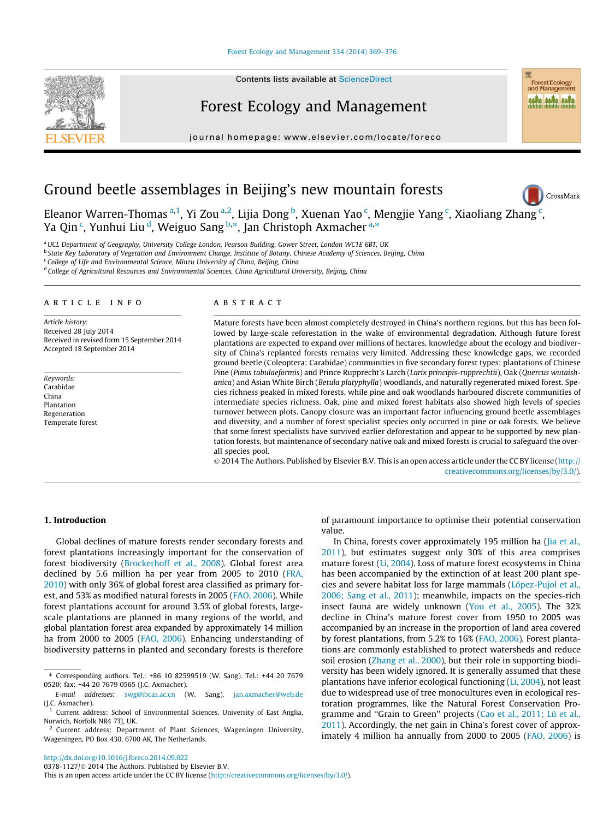#### [Forest Ecology and Management 334 \(2014\) 369–376](http://dx.doi.org/10.1016/j.foreco.2014.09.022)



Contents lists available at [ScienceDirect](http://www.sciencedirect.com/science/journal/03781127)

# Forest Ecology and Management

journal homepage: [www.elsevier.com/locate/foreco](http://www.elsevier.com/locate/foreco)

# Ground beetle assemblages in Beijing's new mountain forests



Forest Ecology<br>and Managemer **MA MA MA** 

Eleanor Warren-Thomas <sup>a, 1</sup>, Yi Zou <sup>a,2</sup>, Lijia Dong <sup>b</sup>, Xuenan Yao <sup>c</sup>, Mengjie Yang <sup>c</sup>, Xiaoliang Zhang <sup>c</sup>, Ya Qin <sup>c</sup>, Yunhui Liu <sup>d</sup>, Weiguo Sang b.\*, Jan Christoph Axmacher <sup>a,\*</sup>

<sup>a</sup> UCL Department of Geography, University College London, Pearson Building, Gower Street, London WC1E 6BT, UK

<sup>b</sup> State Key Laboratory of Vegetation and Environment Change, Institute of Botany, Chinese Academy of Sciences, Beijing, China

<sup>c</sup> College of Life and Environmental Science, Minzu University of China, Beijing, China

<sup>d</sup> College of Agricultural Resources and Environmental Sciences, China Agricultural University, Beijing, China

# article info

Article history: Received 28 July 2014 Received in revised form 15 September 2014 Accepted 18 September 2014

Keywords: Carabidae China Plantation Regeneration Temperate forest

# ABSTRACT

Mature forests have been almost completely destroyed in China's northern regions, but this has been followed by large-scale reforestation in the wake of environmental degradation. Although future forest plantations are expected to expand over millions of hectares, knowledge about the ecology and biodiversity of China's replanted forests remains very limited. Addressing these knowledge gaps, we recorded ground beetle (Coleoptera: Carabidae) communities in five secondary forest types: plantations of Chinese Pine (Pinus tabulaeformis) and Prince Rupprecht's Larch (Larix principis-rupprechtii), Oak (Quercus wutaishanica) and Asian White Birch (Betula platyphylla) woodlands, and naturally regenerated mixed forest. Species richness peaked in mixed forests, while pine and oak woodlands harboured discrete communities of intermediate species richness. Oak, pine and mixed forest habitats also showed high levels of species turnover between plots. Canopy closure was an important factor influencing ground beetle assemblages and diversity, and a number of forest specialist species only occurred in pine or oak forests. We believe that some forest specialists have survived earlier deforestation and appear to be supported by new plantation forests, but maintenance of secondary native oak and mixed forests is crucial to safeguard the overall species pool.

 $\odot$  2014 The Authors. Published by Elsevier B.V. This is an open access article under the CC BY license ([http://](http://creativecommons.org/licenses/by/3.0/) [creativecommons.org/licenses/by/3.0/](http://creativecommons.org/licenses/by/3.0/)).

## 1. Introduction

Global declines of mature forests render secondary forests and forest plantations increasingly important for the conservation of forest biodiversity ([Brockerhoff et al., 2008\)](#page-6-0). Global forest area declined by 5.6 million ha per year from 2005 to 2010 [\(FRA,](#page-6-0) [2010](#page-6-0)) with only 36% of global forest area classified as primary forest, and 53% as modified natural forests in 2005 ([FAO, 2006\)](#page-6-0). While forest plantations account for around 3.5% of global forests, largescale plantations are planned in many regions of the world, and global plantation forest area expanded by approximately 14 million ha from 2000 to 2005 [\(FAO, 2006](#page-6-0)). Enhancing understanding of biodiversity patterns in planted and secondary forests is therefore of paramount importance to optimise their potential conservation value.

In China, forests cover approximately 195 million ha [\(Jia et al.,](#page-7-0) [2011](#page-7-0)), but estimates suggest only 30% of this area comprises mature forest [\(Li, 2004\)](#page-7-0). Loss of mature forest ecosystems in China has been accompanied by the extinction of at least 200 plant species and severe habitat loss for large mammals [\(López-Pujol et al.,](#page-7-0) [2006; Sang et al., 2011\)](#page-7-0); meanwhile, impacts on the species-rich insect fauna are widely unknown ([You et al., 2005\)](#page-7-0). The 32% decline in China's mature forest cover from 1950 to 2005 was accompanied by an increase in the proportion of land area covered by forest plantations, from 5.2% to 16% ([FAO, 2006\)](#page-6-0). Forest plantations are commonly established to protect watersheds and reduce soil erosion [\(Zhang et al., 2000](#page-7-0)), but their role in supporting biodiversity has been widely ignored. It is generally assumed that these plantations have inferior ecological functioning [\(Li, 2004](#page-7-0)), not least due to widespread use of tree monocultures even in ecological restoration programmes, like the Natural Forest Conservation Programme and ''Grain to Green'' projects [\(Cao et al., 2011; Lü et al.,](#page-6-0) [2011](#page-6-0)). Accordingly, the net gain in China's forest cover of approximately 4 million ha annually from 2000 to 2005 ([FAO, 2006](#page-6-0)) is

<sup>⇑</sup> Corresponding authors. Tel.: +86 10 82599519 (W. Sang). Tel.: +44 20 7679 0520; fax: +44 20 7679 0565 (J.C. Axmacher).

E-mail addresses: [swg@ibcas.ac.cn](mailto:swg@ibcas.ac.cn) (W. Sang), [jan.axmacher@web.de](mailto:jan.axmacher@web.de) (J.C. Axmacher).

Current address: School of Environmental Sciences, University of East Anglia, Norwich, Norfolk NR4 7TJ, UK.

<sup>2</sup> Current address: Department of Plant Sciences, Wageningen University, Wageningen, PO Box 430, 6700 AK, The Netherlands.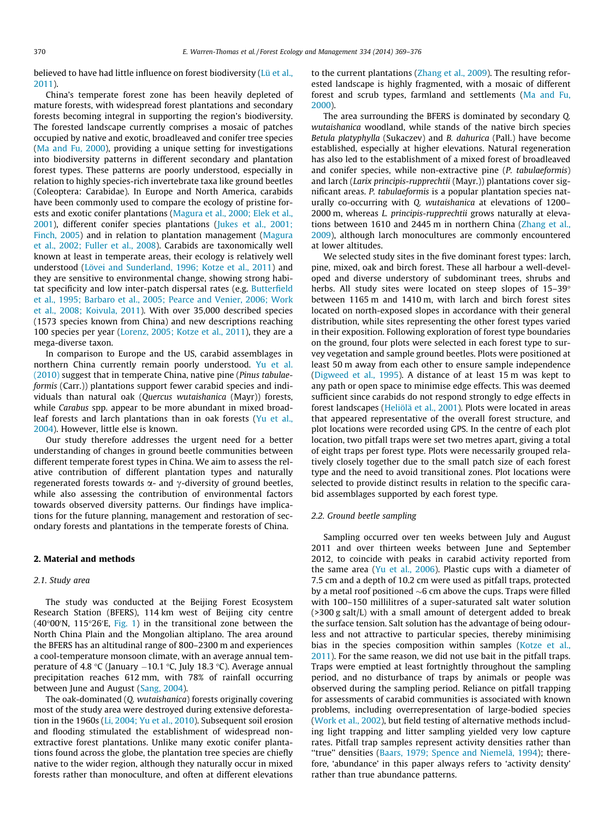believed to have had little influence on forest biodiversity ([Lü et al.,](#page-7-0) [2011\)](#page-7-0).

China's temperate forest zone has been heavily depleted of mature forests, with widespread forest plantations and secondary forests becoming integral in supporting the region's biodiversity. The forested landscape currently comprises a mosaic of patches occupied by native and exotic, broadleaved and conifer tree species ([Ma and Fu, 2000\)](#page-7-0), providing a unique setting for investigations into biodiversity patterns in different secondary and plantation forest types. These patterns are poorly understood, especially in relation to highly species-rich invertebrate taxa like ground beetles (Coleoptera: Carabidae). In Europe and North America, carabids have been commonly used to compare the ecology of pristine forests and exotic conifer plantations ([Magura et al., 2000; Elek et al.,](#page-7-0) [2001\)](#page-7-0), different conifer species plantations ([Jukes et al., 2001;](#page-7-0) [Finch, 2005](#page-7-0)) and in relation to plantation management ([Magura](#page-7-0) [et al., 2002; Fuller et al., 2008](#page-7-0)). Carabids are taxonomically well known at least in temperate areas, their ecology is relatively well understood [\(Lövei and Sunderland, 1996; Kotze et al., 2011\)](#page-7-0) and they are sensitive to environmental change, showing strong habitat specificity and low inter-patch dispersal rates (e.g. [Butterfield](#page-6-0) [et al., 1995; Barbaro et al., 2005; Pearce and Venier, 2006; Work](#page-6-0) [et al., 2008; Koivula, 2011](#page-6-0)). With over 35,000 described species (1573 species known from China) and new descriptions reaching 100 species per year ([Lorenz, 2005; Kotze et al., 2011\)](#page-7-0), they are a mega-diverse taxon.

In comparison to Europe and the US, carabid assemblages in northern China currently remain poorly understood. [Yu et al.](#page-7-0) [\(2010\)](#page-7-0) suggest that in temperate China, native pine (Pinus tabulaeformis (Carr.)) plantations support fewer carabid species and individuals than natural oak (Quercus wutaishanica (Mayr)) forests, while Carabus spp. appear to be more abundant in mixed broadleaf forests and larch plantations than in oak forests [\(Yu et al.,](#page-7-0) [2004\)](#page-7-0). However, little else is known.

Our study therefore addresses the urgent need for a better understanding of changes in ground beetle communities between different temperate forest types in China. We aim to assess the relative contribution of different plantation types and naturally regenerated forests towards  $\alpha$ - and  $\gamma$ -diversity of ground beetles, while also assessing the contribution of environmental factors towards observed diversity patterns. Our findings have implications for the future planning, management and restoration of secondary forests and plantations in the temperate forests of China.

#### 2. Material and methods

#### 2.1. Study area

The study was conducted at the Beijing Forest Ecosystem Research Station (BFERS), 114 km west of Beijing city centre (40°00'N, 115°26'E, [Fig. 1](#page-2-0)) in the transitional zone between the North China Plain and the Mongolian altiplano. The area around the BFERS has an altitudinal range of 800–2300 m and experiences a cool-temperature monsoon climate, with an average annual temperature of 4.8 °C (January –10.1 °C, July 18.3 °C). Average annual precipitation reaches 612 mm, with 78% of rainfall occurring between June and August ([Sang, 2004](#page-7-0)).

The oak-dominated (Q. wutaishanica) forests originally covering most of the study area were destroyed during extensive deforestation in the 1960s [\(Li, 2004; Yu et al., 2010\)](#page-7-0). Subsequent soil erosion and flooding stimulated the establishment of widespread nonextractive forest plantations. Unlike many exotic conifer plantations found across the globe, the plantation tree species are chiefly native to the wider region, although they naturally occur in mixed forests rather than monoculture, and often at different elevations to the current plantations ([Zhang et al., 2009\)](#page-7-0). The resulting reforested landscape is highly fragmented, with a mosaic of different forest and scrub types, farmland and settlements ([Ma and Fu,](#page-7-0) [2000](#page-7-0)).

The area surrounding the BFERS is dominated by secondary Q. wutaishanica woodland, while stands of the native birch species Betula platyphylla (Sukaczev) and B. dahurica (Pall.) have become established, especially at higher elevations. Natural regeneration has also led to the establishment of a mixed forest of broadleaved and conifer species, while non-extractive pine (P. tabulaeformis) and larch (Larix principis-rupprechtii (Mayr.)) plantations cover significant areas. P. tabulaeformis is a popular plantation species naturally co-occurring with Q. wutaishanica at elevations of 1200– 2000 m, whereas L. principis-rupprechtii grows naturally at elevations between 1610 and 2445 m in northern China [\(Zhang et al.,](#page-7-0) [2009\)](#page-7-0), although larch monocultures are commonly encountered at lower altitudes.

We selected study sites in the five dominant forest types: larch, pine, mixed, oak and birch forest. These all harbour a well-developed and diverse understory of subdominant trees, shrubs and herbs. All study sites were located on steep slopes of 15–39° between 1165 m and 1410 m, with larch and birch forest sites located on north-exposed slopes in accordance with their general distribution, while sites representing the other forest types varied in their exposition. Following exploration of forest type boundaries on the ground, four plots were selected in each forest type to survey vegetation and sample ground beetles. Plots were positioned at least 50 m away from each other to ensure sample independence ([Digweed et al., 1995](#page-6-0)). A distance of at least 15 m was kept to any path or open space to minimise edge effects. This was deemed sufficient since carabids do not respond strongly to edge effects in forest landscapes ([Heliölä et al., 2001](#page-6-0)). Plots were located in areas that appeared representative of the overall forest structure, and plot locations were recorded using GPS. In the centre of each plot location, two pitfall traps were set two metres apart, giving a total of eight traps per forest type. Plots were necessarily grouped relatively closely together due to the small patch size of each forest type and the need to avoid transitional zones. Plot locations were selected to provide distinct results in relation to the specific carabid assemblages supported by each forest type.

## 2.2. Ground beetle sampling

Sampling occurred over ten weeks between July and August 2011 and over thirteen weeks between June and September 2012, to coincide with peaks in carabid activity reported from the same area ([Yu et al., 2006](#page-7-0)). Plastic cups with a diameter of 7.5 cm and a depth of 10.2 cm were used as pitfall traps, protected by a metal roof positioned  $\sim$ 6 cm above the cups. Traps were filled with 100–150 millilitres of a super-saturated salt water solution (>300 g salt/L) with a small amount of detergent added to break the surface tension. Salt solution has the advantage of being odourless and not attractive to particular species, thereby minimising bias in the species composition within samples ([Kotze et al.,](#page-7-0) [2011\)](#page-7-0). For the same reason, we did not use bait in the pitfall traps. Traps were emptied at least fortnightly throughout the sampling period, and no disturbance of traps by animals or people was observed during the sampling period. Reliance on pitfall trapping for assessments of carabid communities is associated with known problems, including overrepresentation of large-bodied species ([Work et al., 2002](#page-7-0)), but field testing of alternative methods including light trapping and litter sampling yielded very low capture rates. Pitfall trap samples represent activity densities rather than ''true'' densities ([Baars, 1979; Spence and Niemelä, 1994\)](#page-6-0); therefore, 'abundance' in this paper always refers to 'activity density' rather than true abundance patterns.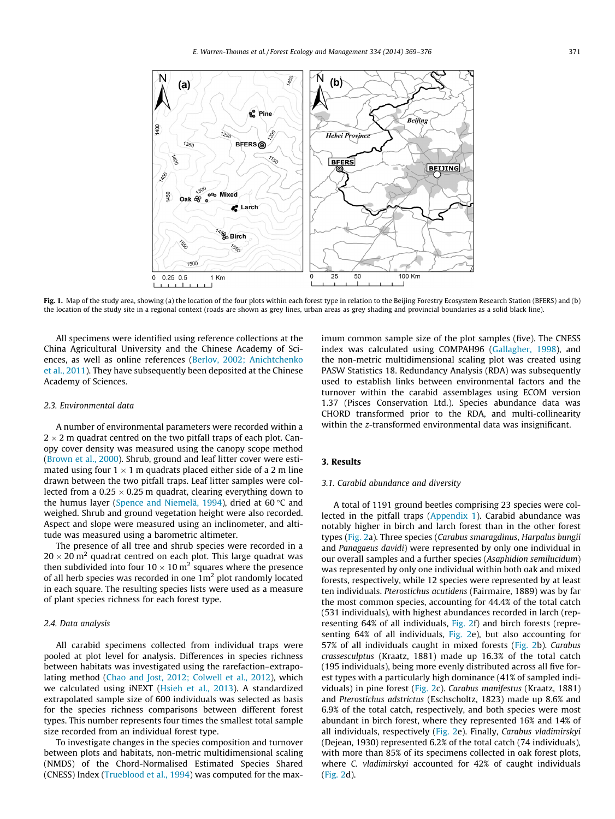<span id="page-2-0"></span>

Fig. 1. Map of the study area, showing (a) the location of the four plots within each forest type in relation to the Beijing Forestry Ecosystem Research Station (BFERS) and (b) the location of the study site in a regional context (roads are shown as grey lines, urban areas as grey shading and provincial boundaries as a solid black line).

All specimens were identified using reference collections at the China Agricultural University and the Chinese Academy of Sciences, as well as online references [\(Berlov, 2002; Anichtchenko](#page-6-0) [et al., 2011](#page-6-0)). They have subsequently been deposited at the Chinese Academy of Sciences.

## 2.3. Environmental data

A number of environmental parameters were recorded within a  $2 \times 2$  m quadrat centred on the two pitfall traps of each plot. Canopy cover density was measured using the canopy scope method ([Brown et al., 2000\)](#page-6-0). Shrub, ground and leaf litter cover were estimated using four  $1 \times 1$  m quadrats placed either side of a 2 m line drawn between the two pitfall traps. Leaf litter samples were collected from a 0.25  $\times$  0.25 m quadrat, clearing everything down to the humus layer [\(Spence and Niemelä, 1994\)](#page-7-0), dried at 60  $\degree$ C and weighed. Shrub and ground vegetation height were also recorded. Aspect and slope were measured using an inclinometer, and altitude was measured using a barometric altimeter.

The presence of all tree and shrub species were recorded in a  $20 \times 20$  m<sup>2</sup> quadrat centred on each plot. This large quadrat was then subdivided into four  $10 \times 10$  m<sup>2</sup> squares where the presence of all herb species was recorded in one  $1m<sup>2</sup>$  plot randomly located in each square. The resulting species lists were used as a measure of plant species richness for each forest type.

## 2.4. Data analysis

All carabid specimens collected from individual traps were pooled at plot level for analysis. Differences in species richness between habitats was investigated using the rarefaction–extrapolating method [\(Chao and Jost, 2012; Colwell et al., 2012](#page-6-0)), which we calculated using iNEXT [\(Hsieh et al., 2013](#page-6-0)). A standardized extrapolated sample size of 600 individuals was selected as basis for the species richness comparisons between different forest types. This number represents four times the smallest total sample size recorded from an individual forest type.

To investigate changes in the species composition and turnover between plots and habitats, non-metric multidimensional scaling (NMDS) of the Chord-Normalised Estimated Species Shared (CNESS) Index [\(Trueblood et al., 1994\)](#page-7-0) was computed for the maximum common sample size of the plot samples (five). The CNESS index was calculated using COMPAH96 [\(Gallagher, 1998\)](#page-6-0), and the non-metric multidimensional scaling plot was created using PASW Statistics 18. Redundancy Analysis (RDA) was subsequently used to establish links between environmental factors and the turnover within the carabid assemblages using ECOM version 1.37 (Pisces Conservation Ltd.). Species abundance data was CHORD transformed prior to the RDA, and multi-collinearity within the z-transformed environmental data was insignificant.

## 3. Results

## 3.1. Carabid abundance and diversity

A total of 1191 ground beetles comprising 23 species were collected in the pitfall traps (Appendix 1). Carabid abundance was notably higher in birch and larch forest than in the other forest types [\(Fig. 2](#page-3-0)a). Three species (Carabus smaragdinus, Harpalus bungii and Panagaeus davidi) were represented by only one individual in our overall samples and a further species (Asaphidion semilucidum) was represented by only one individual within both oak and mixed forests, respectively, while 12 species were represented by at least ten individuals. Pterostichus acutidens (Fairmaire, 1889) was by far the most common species, accounting for 44.4% of the total catch (531 individuals), with highest abundances recorded in larch (representing 64% of all individuals, [Fig. 2f](#page-3-0)) and birch forests (representing 64% of all individuals, [Fig. 2e](#page-3-0)), but also accounting for 57% of all individuals caught in mixed forests ([Fig. 2](#page-3-0)b). Carabus crassesculptus (Kraatz, 1881) made up 16.3% of the total catch (195 individuals), being more evenly distributed across all five forest types with a particularly high dominance (41% of sampled individuals) in pine forest ([Fig. 2c](#page-3-0)). Carabus manifestus (Kraatz, 1881) and Pterostichus adstrictus (Eschscholtz, 1823) made up 8.6% and 6.9% of the total catch, respectively, and both species were most abundant in birch forest, where they represented 16% and 14% of all individuals, respectively ( $Fig. 2e$ ). Finally, Carabus vladimirskyi (Dejean, 1930) represented 6.2% of the total catch (74 individuals), with more than 85% of its specimens collected in oak forest plots, where C. vladimirskyi accounted for 42% of caught individuals ([Fig. 2d](#page-3-0)).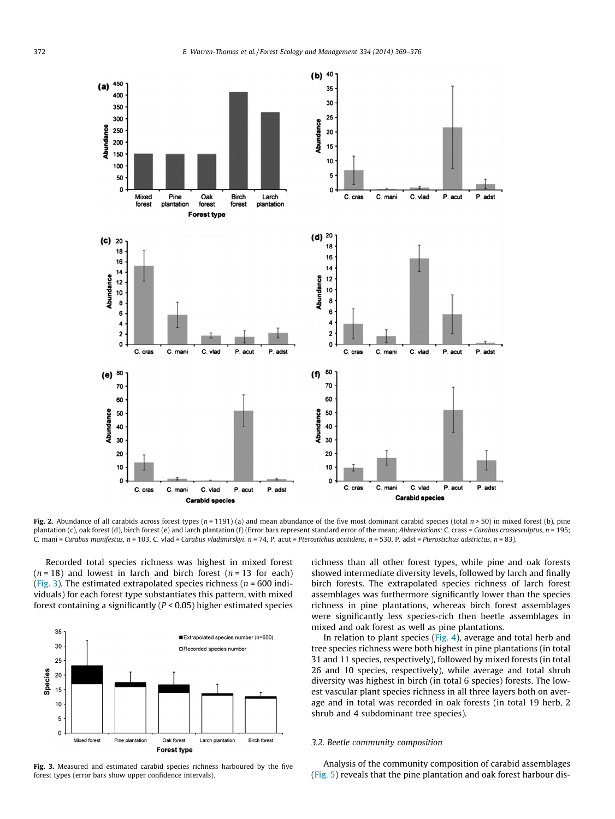<span id="page-3-0"></span>

Fig. 2. Abundance of all carabids across forest types ( $n = 1191$ ) (a) and mean abundance of the five most dominant carabid species (total  $n > 50$ ) in mixed forest (b), pine plantation (c), oak forest (d), birch forest (e) and larch plantation (f) (Error bars represent standard error of the mean; Abbreviations: C. crass = Carabus crassesculptus,  $n = 195$ ; C. mani = Carabus manifestus, n = 103, C. vlad = Carabus vladimirskyi, n = 74, P. acut = Pterostichus acutidens, n = 530, P. adst = Pterostichus adstrictus, n = 83).

Recorded total species richness was highest in mixed forest  $(n = 18)$  and lowest in larch and birch forest  $(n = 13$  for each) (Fig. 3). The estimated extrapolated species richness ( $n = 600$  individuals) for each forest type substantiates this pattern, with mixed forest containing a significantly ( $P < 0.05$ ) higher estimated species



Fig. 3. Measured and estimated carabid species richness harboured by the five forest types (error bars show upper confidence intervals).

richness than all other forest types, while pine and oak forests showed intermediate diversity levels, followed by larch and finally birch forests. The extrapolated species richness of larch forest assemblages was furthermore significantly lower than the species richness in pine plantations, whereas birch forest assemblages were significantly less species-rich then beetle assemblages in mixed and oak forest as well as pine plantations.

In relation to plant species [\(Fig. 4](#page-4-0)), average and total herb and tree species richness were both highest in pine plantations (in total 31 and 11 species, respectively), followed by mixed forests (in total 26 and 10 species, respectively), while average and total shrub diversity was highest in birch (in total 6 species) forests. The lowest vascular plant species richness in all three layers both on average and in total was recorded in oak forests (in total 19 herb, 2 shrub and 4 subdominant tree species).

## 3.2. Beetle community composition

Analysis of the community composition of carabid assemblages ([Fig. 5\)](#page-4-0) reveals that the pine plantation and oak forest harbour dis-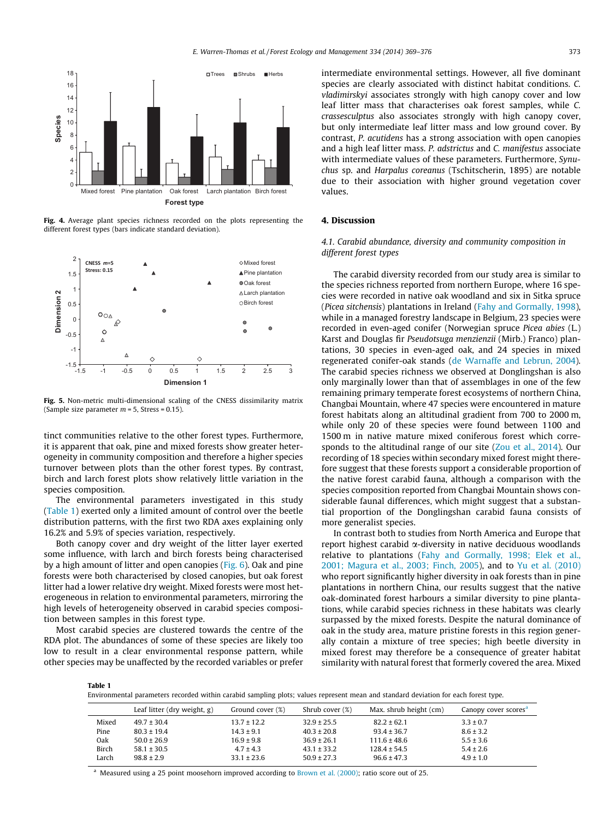<span id="page-4-0"></span>

Fig. 4. Average plant species richness recorded on the plots representing the different forest types (bars indicate standard deviation).



Fig. 5. Non-metric multi-dimensional scaling of the CNESS dissimilarity matrix (Sample size parameter  $m = 5$ , Stress = 0.15).

tinct communities relative to the other forest types. Furthermore, it is apparent that oak, pine and mixed forests show greater heterogeneity in community composition and therefore a higher species turnover between plots than the other forest types. By contrast, birch and larch forest plots show relatively little variation in the species composition.

The environmental parameters investigated in this study (Table 1) exerted only a limited amount of control over the beetle distribution patterns, with the first two RDA axes explaining only 16.2% and 5.9% of species variation, respectively.

Both canopy cover and dry weight of the litter layer exerted some influence, with larch and birch forests being characterised by a high amount of litter and open canopies ([Fig. 6\)](#page-5-0). Oak and pine forests were both characterised by closed canopies, but oak forest litter had a lower relative dry weight. Mixed forests were most heterogeneous in relation to environmental parameters, mirroring the high levels of heterogeneity observed in carabid species composition between samples in this forest type.

Most carabid species are clustered towards the centre of the RDA plot. The abundances of some of these species are likely too low to result in a clear environmental response pattern, while other species may be unaffected by the recorded variables or prefer

Table 1

intermediate environmental settings. However, all five dominant species are clearly associated with distinct habitat conditions. C. vladimirskyi associates strongly with high canopy cover and low leaf litter mass that characterises oak forest samples, while C. crassesculptus also associates strongly with high canopy cover, but only intermediate leaf litter mass and low ground cover. By contrast, P. acutidens has a strong association with open canopies and a high leaf litter mass. P. adstrictus and C. manifestus associate with intermediate values of these parameters. Furthermore, Synuchus sp. and Harpalus coreanus (Tschitscherin, 1895) are notable due to their association with higher ground vegetation cover values.

# 4. Discussion

# 4.1. Carabid abundance, diversity and community composition in different forest types

The carabid diversity recorded from our study area is similar to the species richness reported from northern Europe, where 16 species were recorded in native oak woodland and six in Sitka spruce (Picea sitchensis) plantations in Ireland ([Fahy and Gormally, 1998\)](#page-6-0), while in a managed forestry landscape in Belgium, 23 species were recorded in even-aged conifer (Norwegian spruce Picea abies (L.) Karst and Douglas fir Pseudotsuga menzienzii (Mirb.) Franco) plantations, 30 species in even-aged oak, and 24 species in mixed regenerated conifer-oak stands ([de Warnaffe and Lebrun, 2004\)](#page-6-0). The carabid species richness we observed at Donglingshan is also only marginally lower than that of assemblages in one of the few remaining primary temperate forest ecosystems of northern China, Changbai Mountain, where 47 species were encountered in mature forest habitats along an altitudinal gradient from 700 to 2000 m, while only 20 of these species were found between 1100 and 1500 m in native mature mixed coniferous forest which corresponds to the altitudinal range of our site [\(Zou et al., 2014](#page-7-0)). Our recording of 18 species within secondary mixed forest might therefore suggest that these forests support a considerable proportion of the native forest carabid fauna, although a comparison with the species composition reported from Changbai Mountain shows considerable faunal differences, which might suggest that a substantial proportion of the Donglingshan carabid fauna consists of more generalist species.

In contrast both to studies from North America and Europe that report highest carabid a-diversity in native deciduous woodlands relative to plantations [\(Fahy and Gormally, 1998; Elek et al.,](#page-6-0) [2001; Magura et al., 2003; Finch, 2005](#page-6-0)), and to [Yu et al. \(2010\)](#page-7-0) who report significantly higher diversity in oak forests than in pine plantations in northern China, our results suggest that the native oak-dominated forest harbours a similar diversity to pine plantations, while carabid species richness in these habitats was clearly surpassed by the mixed forests. Despite the natural dominance of oak in the study area, mature pristine forests in this region generally contain a mixture of tree species; high beetle diversity in mixed forest may therefore be a consequence of greater habitat similarity with natural forest that formerly covered the area. Mixed

Environmental parameters recorded within carabid sampling plots; values represent mean and standard deviation for each forest type.

|       | Leaf litter (dry weight, g) | Ground cover (%) | Shrub cover (%) | Max, shrub height (cm) | Canopy cover scores <sup>a</sup> |
|-------|-----------------------------|------------------|-----------------|------------------------|----------------------------------|
| Mixed | $49.7 \pm 30.4$             | $13.7 \pm 12.2$  | $32.9 \pm 25.5$ | $82.2 \pm 62.1$        | $3.3 \pm 0.7$                    |
| Pine  | $80.3 \pm 19.4$             | $14.3 \pm 9.1$   | $40.3 \pm 20.8$ | $93.4 \pm 36.7$        | $8.6 \pm 3.2$                    |
| Oak   | $50.0 \pm 26.9$             | $16.9 \pm 9.8$   | $36.9 \pm 26.1$ | $111.6 \pm 48.6$       | $5.5 \pm 3.6$                    |
| Birch | $58.1 \pm 30.5$             | $4.7 \pm 4.3$    | $43.1 \pm 33.2$ | $128.4 \pm 54.5$       | $5.4 \pm 2.6$                    |
| Larch | $98.8 \pm 2.9$              | $33.1 \pm 23.6$  | $50.9 \pm 27.3$ | $96.6 \pm 47.3$        | $4.9 \pm 1.0$                    |

<sup>a</sup> Measured using a 25 point moosehorn improved according to [Brown et al. \(2000\);](#page-6-0) ratio score out of 25.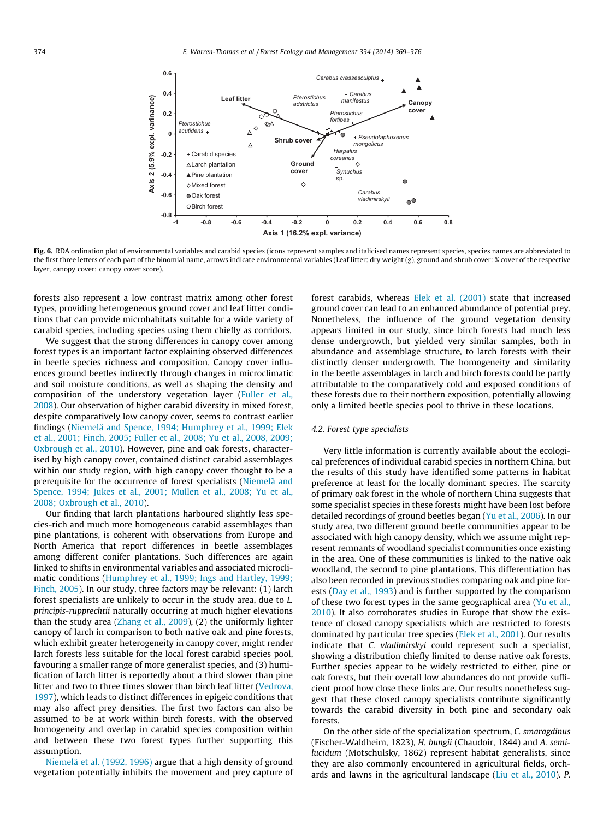<span id="page-5-0"></span>

Fig. 6. RDA ordination plot of environmental variables and carabid species (icons represent samples and italicised names represent species, species names are abbreviated to the first three letters of each part of the binomial name, arrows indicate environmental variables (Leaf litter: dry weight (g), ground and shrub cover: % cover of the respective layer, canopy cover: canopy cover score).

forests also represent a low contrast matrix among other forest types, providing heterogeneous ground cover and leaf litter conditions that can provide microhabitats suitable for a wide variety of carabid species, including species using them chiefly as corridors.

We suggest that the strong differences in canopy cover among forest types is an important factor explaining observed differences in beetle species richness and composition. Canopy cover influences ground beetles indirectly through changes in microclimatic and soil moisture conditions, as well as shaping the density and composition of the understory vegetation layer ([Fuller et al.,](#page-6-0) [2008\)](#page-6-0). Our observation of higher carabid diversity in mixed forest, despite comparatively low canopy cover, seems to contrast earlier findings [\(Niemelä and Spence, 1994; Humphrey et al., 1999; Elek](#page-7-0) [et al., 2001; Finch, 2005; Fuller et al., 2008; Yu et al., 2008, 2009;](#page-7-0) [Oxbrough et al., 2010\)](#page-7-0). However, pine and oak forests, characterised by high canopy cover, contained distinct carabid assemblages within our study region, with high canopy cover thought to be a prerequisite for the occurrence of forest specialists [\(Niemelä and](#page-7-0) [Spence, 1994; Jukes et al., 2001; Mullen et al., 2008; Yu et al.,](#page-7-0) [2008; Oxbrough et al., 2010](#page-7-0)).

Our finding that larch plantations harboured slightly less species-rich and much more homogeneous carabid assemblages than pine plantations, is coherent with observations from Europe and North America that report differences in beetle assemblages among different conifer plantations. Such differences are again linked to shifts in environmental variables and associated microclimatic conditions [\(Humphrey et al., 1999; Ings and Hartley, 1999;](#page-6-0) [Finch, 2005](#page-6-0)). In our study, three factors may be relevant: (1) larch forest specialists are unlikely to occur in the study area, due to L. principis-rupprechtii naturally occurring at much higher elevations than the study area ([Zhang et al., 2009](#page-7-0)), (2) the uniformly lighter canopy of larch in comparison to both native oak and pine forests, which exhibit greater heterogeneity in canopy cover, might render larch forests less suitable for the local forest carabid species pool, favouring a smaller range of more generalist species, and (3) humification of larch litter is reportedly about a third slower than pine litter and two to three times slower than birch leaf litter ([Vedrova,](#page-7-0) [1997\)](#page-7-0), which leads to distinct differences in epigeic conditions that may also affect prey densities. The first two factors can also be assumed to be at work within birch forests, with the observed homogeneity and overlap in carabid species composition within and between these two forest types further supporting this assumption.

[Niemelä et al. \(1992, 1996\)](#page-7-0) argue that a high density of ground vegetation potentially inhibits the movement and prey capture of forest carabids, whereas [Elek et al. \(2001\)](#page-6-0) state that increased ground cover can lead to an enhanced abundance of potential prey. Nonetheless, the influence of the ground vegetation density appears limited in our study, since birch forests had much less dense undergrowth, but yielded very similar samples, both in abundance and assemblage structure, to larch forests with their distinctly denser undergrowth. The homogeneity and similarity in the beetle assemblages in larch and birch forests could be partly attributable to the comparatively cold and exposed conditions of these forests due to their northern exposition, potentially allowing only a limited beetle species pool to thrive in these locations.

## 4.2. Forest type specialists

Very little information is currently available about the ecological preferences of individual carabid species in northern China, but the results of this study have identified some patterns in habitat preference at least for the locally dominant species. The scarcity of primary oak forest in the whole of northern China suggests that some specialist species in these forests might have been lost before detailed recordings of ground beetles began ([Yu et al., 2006](#page-7-0)). In our study area, two different ground beetle communities appear to be associated with high canopy density, which we assume might represent remnants of woodland specialist communities once existing in the area. One of these communities is linked to the native oak woodland, the second to pine plantations. This differentiation has also been recorded in previous studies comparing oak and pine forests ([Day et al., 1993](#page-6-0)) and is further supported by the comparison of these two forest types in the same geographical area ([Yu et al.,](#page-7-0) [2010\)](#page-7-0). It also corroborates studies in Europe that show the existence of closed canopy specialists which are restricted to forests dominated by particular tree species ([Elek et al., 2001\)](#page-6-0). Our results indicate that C. vladimirskyi could represent such a specialist, showing a distribution chiefly limited to dense native oak forests. Further species appear to be widely restricted to either, pine or oak forests, but their overall low abundances do not provide sufficient proof how close these links are. Our results nonetheless suggest that these closed canopy specialists contribute significantly towards the carabid diversity in both pine and secondary oak forests.

On the other side of the specialization spectrum, C. smaragdinus (Fischer-Waldheim, 1823), H. bungii (Chaudoir, 1844) and A. semilucidum (Motschulsky, 1862) represent habitat generalists, since they are also commonly encountered in agricultural fields, orchards and lawns in the agricultural landscape [\(Liu et al., 2010](#page-7-0)). P.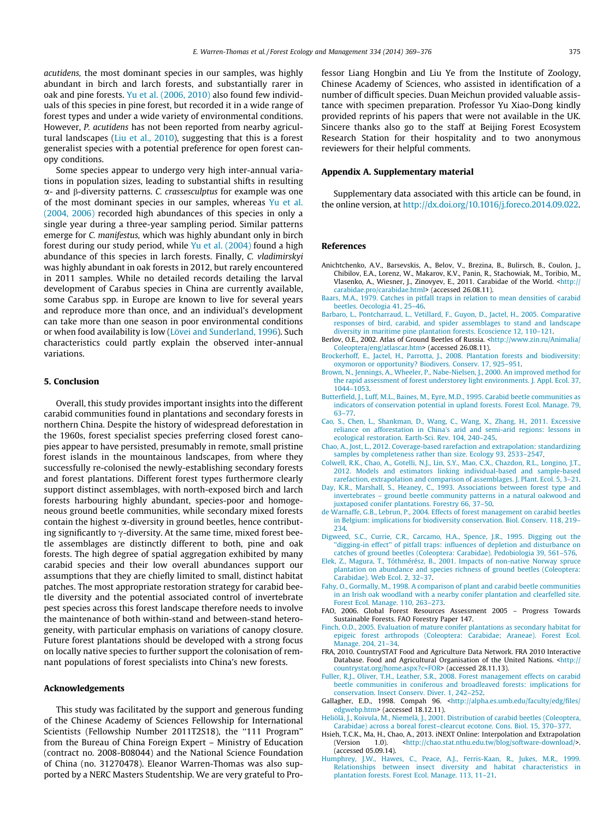<span id="page-6-0"></span>acutidens, the most dominant species in our samples, was highly abundant in birch and larch forests, and substantially rarer in oak and pine forests. [Yu et al. \(2006, 2010\)](#page-7-0) also found few individuals of this species in pine forest, but recorded it in a wide range of forest types and under a wide variety of environmental conditions. However, P. acutidens has not been reported from nearby agricultural landscapes ([Liu et al., 2010](#page-7-0)), suggesting that this is a forest generalist species with a potential preference for open forest canopy conditions.

Some species appear to undergo very high inter-annual variations in population sizes, leading to substantial shifts in resulting  $\alpha$ - and  $\beta$ -diversity patterns. C. crassesculptus for example was one of the most dominant species in our samples, whereas [Yu et al.](#page-7-0) [\(2004, 2006\)](#page-7-0) recorded high abundances of this species in only a single year during a three-year sampling period. Similar patterns emerge for C. manifestus, which was highly abundant only in birch forest during our study period, while [Yu et al. \(2004\)](#page-7-0) found a high abundance of this species in larch forests. Finally, C. vladimirskyi was highly abundant in oak forests in 2012, but rarely encountered in 2011 samples. While no detailed records detailing the larval development of Carabus species in China are currently available, some Carabus spp. in Europe are known to live for several years and reproduce more than once, and an individual's development can take more than one season in poor environmental conditions or when food availability is low [\(Lövei and Sunderland, 1996\)](#page-7-0). Such characteristics could partly explain the observed inter-annual variations.

## 5. Conclusion

Overall, this study provides important insights into the different carabid communities found in plantations and secondary forests in northern China. Despite the history of widespread deforestation in the 1960s, forest specialist species preferring closed forest canopies appear to have persisted, presumably in remote, small pristine forest islands in the mountainous landscapes, from where they successfully re-colonised the newly-establishing secondary forests and forest plantations. Different forest types furthermore clearly support distinct assemblages, with north-exposed birch and larch forests harbouring highly abundant, species-poor and homogeneous ground beetle communities, while secondary mixed forests contain the highest  $\alpha$ -diversity in ground beetles, hence contributing significantly to  $\gamma$ -diversity. At the same time, mixed forest beetle assemblages are distinctly different to both, pine and oak forests. The high degree of spatial aggregation exhibited by many carabid species and their low overall abundances support our assumptions that they are chiefly limited to small, distinct habitat patches. The most appropriate restoration strategy for carabid beetle diversity and the potential associated control of invertebrate pest species across this forest landscape therefore needs to involve the maintenance of both within-stand and between-stand heterogeneity, with particular emphasis on variations of canopy closure. Future forest plantations should be developed with a strong focus on locally native species to further support the colonisation of remnant populations of forest specialists into China's new forests.

# Acknowledgements

This study was facilitated by the support and generous funding of the Chinese Academy of Sciences Fellowship for International Scientists (Fellowship Number 2011T2S18), the "111 Program" from the Bureau of China Foreign Expert – Ministry of Education (contract no. 2008-B08044) and the National Science Foundation of China (no. 31270478). Eleanor Warren-Thomas was also supported by a NERC Masters Studentship. We are very grateful to Professor Liang Hongbin and Liu Ye from the Institute of Zoology, Chinese Academy of Sciences, who assisted in identification of a number of difficult species. Duan Meichun provided valuable assistance with specimen preparation. Professor Yu Xiao-Dong kindly provided reprints of his papers that were not available in the UK. Sincere thanks also go to the staff at Beijing Forest Ecosystem Research Station for their hospitality and to two anonymous reviewers for their helpful comments.

## Appendix A. Supplementary material

Supplementary data associated with this article can be found, in the online version, at <http://dx.doi.org/10.1016/j.foreco.2014.09.022>.

## References

- Anichtchenko, A.V., Barsevskis, A., Belov, V., Brezina, B., Bulirsch, B., Coulon, J., Chibilov, E.A., Lorenz, W., Makarov, K.V., Panin, R., Stachowiak, M., Toribio, M., Vlasenko, A., Wiesner, J., Zinovyev, E., 2011. Carabidae of the World. <[http://](http://carabidae.pro/carabidae.html) [carabidae.pro/carabidae.html>](http://carabidae.pro/carabidae.html) (accessed 26.08.11).
- [Baars, M.A., 1979. Catches in pitfall traps in relation to mean densities of carabid](http://refhub.elsevier.com/S0378-1127(14)00563-5/h0010) [beetles. Oecologia 41, 25–46.](http://refhub.elsevier.com/S0378-1127(14)00563-5/h0010)
- [Barbaro, L., Pontcharraud, L., Vetillard, F., Guyon, D., Jactel, H., 2005. Comparative](http://refhub.elsevier.com/S0378-1127(14)00563-5/h0015) [responses of bird, carabid, and spider assemblages to stand and landscape](http://refhub.elsevier.com/S0378-1127(14)00563-5/h0015) [diversity in maritime pine plantation forests. Ecoscience 12, 110–121](http://refhub.elsevier.com/S0378-1127(14)00563-5/h0015).
- Berlov, O.E., 2002. Atlas of Ground Beetles of Russia. [<http://www.zin.ru/Animalia/](http://www.zin.ru/Animalia/Coleoptera/eng/atlascar.htm) [Coleoptera/eng/atlascar.htm>](http://www.zin.ru/Animalia/Coleoptera/eng/atlascar.htm) (accessed 26.08.11).
- [Brockerhoff, E., Jactel, H., Parrotta, J., 2008. Plantation forests and biodiversity:](http://refhub.elsevier.com/S0378-1127(14)00563-5/h0025) [oxymoron or opportunity? Biodivers. Conserv. 17, 925–951](http://refhub.elsevier.com/S0378-1127(14)00563-5/h0025).
- [Brown, N., Jennings, A., Wheeler, P., Nabe-Nielsen, J., 2000. An improved method for](http://refhub.elsevier.com/S0378-1127(14)00563-5/h0030) [the rapid assessment of forest understorey light environments. J. Appl. Ecol. 37,](http://refhub.elsevier.com/S0378-1127(14)00563-5/h0030) [1044–1053.](http://refhub.elsevier.com/S0378-1127(14)00563-5/h0030)
- [Butterfield, J., Luff, M.L., Baines, M., Eyre, M.D., 1995. Carabid beetle communities as](http://refhub.elsevier.com/S0378-1127(14)00563-5/h0035) [indicators of conservation potential in upland forests. Forest Ecol. Manage. 79,](http://refhub.elsevier.com/S0378-1127(14)00563-5/h0035) [63–77.](http://refhub.elsevier.com/S0378-1127(14)00563-5/h0035)
- [Cao, S., Chen, L., Shankman, D., Wang, C., Wang, X., Zhang, H., 2011. Excessive](http://refhub.elsevier.com/S0378-1127(14)00563-5/h0040) [reliance on afforestation in China's arid and semi-arid regions: lessons in](http://refhub.elsevier.com/S0378-1127(14)00563-5/h0040) [ecological restoration. Earth-Sci. Rev. 104, 240–245.](http://refhub.elsevier.com/S0378-1127(14)00563-5/h0040)
- [Chao, A., Jost, L., 2012. Coverage-based rarefaction and extrapolation: standardizing](http://refhub.elsevier.com/S0378-1127(14)00563-5/h0045) [samples by completeness rather than size. Ecology 93, 2533–2547](http://refhub.elsevier.com/S0378-1127(14)00563-5/h0045).
- [Colwell, R.K., Chao, A., Gotelli, N.J., Lin, S.Y., Mao, C.X., Chazdon, R.L., Longino, J.T.,](http://refhub.elsevier.com/S0378-1127(14)00563-5/h0055) [2012. Models and estimators linking individual-based and sample-based](http://refhub.elsevier.com/S0378-1127(14)00563-5/h0055) [rarefaction, extrapolation and comparison of assemblages. J. Plant. Ecol. 5, 3–21.](http://refhub.elsevier.com/S0378-1127(14)00563-5/h0055)
- [Day, K.R., Marshall, S., Heaney, C., 1993. Associations between forest type and](http://refhub.elsevier.com/S0378-1127(14)00563-5/h0060) [invertebrates – ground beetle community patterns in a natural oakwood and](http://refhub.elsevier.com/S0378-1127(14)00563-5/h0060) [juxtaposed conifer plantations. Forestry 66, 37–50.](http://refhub.elsevier.com/S0378-1127(14)00563-5/h0060)
- [de Warnaffe, G.B., Lebrun, P., 2004. Effects of forest management on carabid beetles](http://refhub.elsevier.com/S0378-1127(14)00563-5/h0065) [in Belgium: implications for biodiversity conservation. Biol. Conserv. 118, 219–](http://refhub.elsevier.com/S0378-1127(14)00563-5/h0065) [234.](http://refhub.elsevier.com/S0378-1127(14)00563-5/h0065)
- [Digweed, S.C., Currie, C.R., Carcamo, H.A., Spence, J.R., 1995. Digging out the](http://refhub.elsevier.com/S0378-1127(14)00563-5/h0070) [''digging-in effect'' of pitfall traps: influences of depletion and disturbance on](http://refhub.elsevier.com/S0378-1127(14)00563-5/h0070) [catches of ground beetles \(Coleoptera: Carabidae\). Pedobiologia 39, 561–576.](http://refhub.elsevier.com/S0378-1127(14)00563-5/h0070)
- [Elek, Z., Magura, T., Tóthmérész, B., 2001. Impacts of non-native Norway spruce](http://refhub.elsevier.com/S0378-1127(14)00563-5/h0075) [plantation on abundance and species richness of ground beetles \(Coleoptera:](http://refhub.elsevier.com/S0378-1127(14)00563-5/h0075) [Carabidae\). Web Ecol. 2, 32–37](http://refhub.elsevier.com/S0378-1127(14)00563-5/h0075).
- [Fahy, O., Gormally, M., 1998. A comparison of plant and carabid beetle communities](http://refhub.elsevier.com/S0378-1127(14)00563-5/h0080) [in an Irish oak woodland with a nearby conifer plantation and clearfelled site.](http://refhub.elsevier.com/S0378-1127(14)00563-5/h0080) [Forest Ecol. Manage. 110, 263–273.](http://refhub.elsevier.com/S0378-1127(14)00563-5/h0080)
- FAO, 2006. Global Forest Resources Assessment 2005 Progress Towards Sustainable Forests. FAO Forestry Paper 147.
- [Finch, O.D., 2005. Evaluation of mature conifer plantations as secondary habitat for](http://refhub.elsevier.com/S0378-1127(14)00563-5/h0090) [epigeic forest arthropods \(Coleoptera: Carabidae; Araneae\). Forest Ecol.](http://refhub.elsevier.com/S0378-1127(14)00563-5/h0090) [Manage. 204, 21–34](http://refhub.elsevier.com/S0378-1127(14)00563-5/h0090).
- FRA, 2010. CountrySTAT Food and Agriculture Data Network. FRA 2010 Interactive Database. Food and Agricultural Organisation of the United Nations. <[http://](http://countrystat.org/home.aspx?c=FOR) [countrystat.org/home.aspx?c=FOR>](http://countrystat.org/home.aspx?c=FOR) (accessed 28.11.13).
- [Fuller, R.J., Oliver, T.H., Leather, S.R., 2008. Forest management effects on carabid](http://refhub.elsevier.com/S0378-1127(14)00563-5/h0100) [beetle communities in coniferous and broadleaved forests: implications for](http://refhub.elsevier.com/S0378-1127(14)00563-5/h0100) [conservation. Insect Conserv. Diver. 1, 242–252.](http://refhub.elsevier.com/S0378-1127(14)00563-5/h0100)
- Gallagher, E.D., 1998. Compah 96. < [http://alpha.es.umb.edu/faculty/edg/files/](http://alpha.es.umb.edu/faculty/edg/files/edgwebp.htm) [edgwebp.htm](http://alpha.es.umb.edu/faculty/edg/files/edgwebp.htm)> (accessed 18.12.11).
- [Heliölä, J., Koivula, M., Niemelä, J., 2001. Distribution of carabid beetles \(Coleoptera,](http://refhub.elsevier.com/S0378-1127(14)00563-5/h0110) [Carabidae\) across a boreal forest–clearcut ecotone. Cons. Biol. 15, 370–377.](http://refhub.elsevier.com/S0378-1127(14)00563-5/h0110)
- Hsieh, T.C.K., Ma, H., Chao, A., 2013. iNEXT Online: Interpolation and Extrapolation (Version 1.0). <http://chao.stat.nthu.edu.tw/blog/software-download/>. [<http://chao.stat.nthu.edu.tw/blog/software-download/](http://chao.stat.nthu.edu.tw/blog/software-download/)>. (accessed 05.09.14).
- [Humphrey, J.W., Hawes, C., Peace, A.J., Ferris-Kaan, R., Jukes, M.R., 1999.](http://refhub.elsevier.com/S0378-1127(14)00563-5/h0120) [Relationships between insect diversity and habitat characteristics in](http://refhub.elsevier.com/S0378-1127(14)00563-5/h0120) [plantation forests. Forest Ecol. Manage. 113, 11–21](http://refhub.elsevier.com/S0378-1127(14)00563-5/h0120).